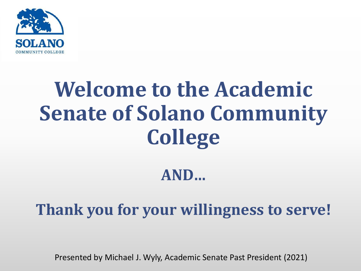

# **Welcome to the Academic Senate of Solano Community College**

#### **AND…**

**Thank you for your willingness to serve!**

Presented by Michael J. Wyly, Academic Senate Past President (2021)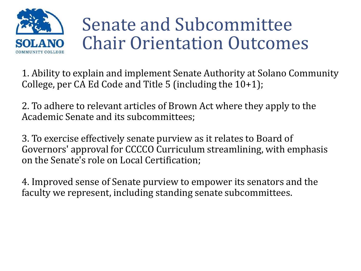

# Senate and Subcommittee Chair Orientation Outcomes

1. Ability to explain and implement Senate Authority at Solano Community College, per CA Ed Code and Title 5 (including the 10+1);

2. To adhere to relevant articles of Brown Act where they apply to the Academic Senate and its subcommittees;

3. To exercise effectively senate purview as it relates to Board of Governors' approval for CCCCO Curriculum streamlining, with emphasis on the Senate's role on Local Certification;

4. Improved sense of Senate purview to empower its senators and the faculty we represent, including standing senate subcommittees.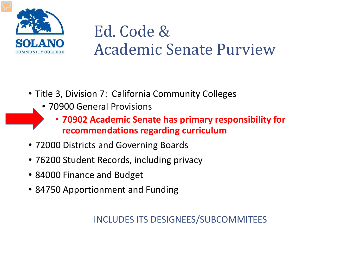

#### Ed. Code & Academic Senate Purview

- Title 3, Division 7: California Community Colleges
	- 70900 General Provisions
		- **70902 Academic Senate has primary responsibility for recommendations regarding curriculum**
- 72000 Districts and Governing Boards
- 76200 Student Records, including privacy
- 84000 Finance and Budget
- 84750 Apportionment and Funding

#### INCLUDES ITS DESIGNEES/SUBCOMMITEES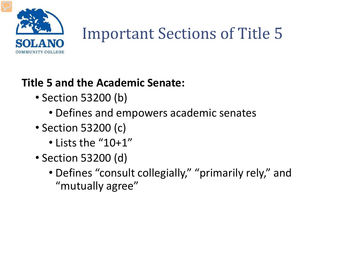

# Important Sections of Title 5

#### **Title 5 and the Academic Senate:**

- Section 53200 (b)
	- Defines and empowers academic senates
- Section 53200 (c)
	- Lists the "10+1"
- Section 53200 (d)
	- Defines "consult collegially," "primarily rely," and "mutually agree"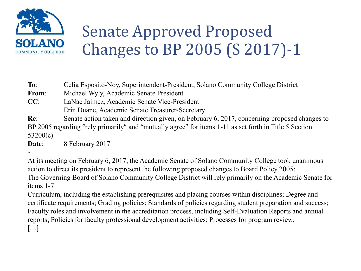

## Senate Approved Proposed Changes to BP 2005 (S 2017)-1

**To**: Celia Esposito-Noy, Superintendent-President, Solano Community College District

**From**: Michael Wyly, Academic Senate President

**CC**: LaNae Jaimez, Academic Senate Vice-President Erin Duane, Academic Senate Treasurer-Secretary

**Re**: Senate action taken and direction given, on February 6, 2017, concerning proposed changes to BP 2005 regarding "rely primarily" and "mutually agree" for items 1-11 as set forth in Title 5 Section 53200(c).

**Date**: 8 February 2017

 $\sim$ 

At its meeting on February 6, 2017, the Academic Senate of Solano Community College took unanimous action to direct its president to represent the following proposed changes to Board Policy 2005: The Governing Board of Solano Community College District will rely primarily on the Academic Senate for items 1-7:

Curriculum, including the establishing prerequisites and placing courses within disciplines; Degree and certificate requirements; Grading policies; Standards of policies regarding student preparation and success; Faculty roles and involvement in the accreditation process, including Self-Evaluation Reports and annual reports; Policies for faculty professional development activities; Processes for program review. […]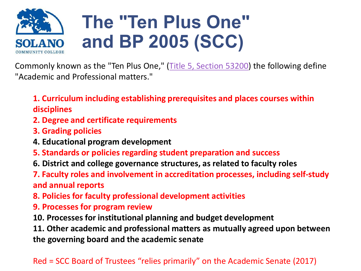

Commonly known as the "Ten Plus One," ([Title 5, Section 53200\)](http://www.ccsf.edu/NEW/content/dam/ccsf/images/shared_governance/title5.pdf) the following define "Academic and Professional matters."

**1. Curriculum including establishing prerequisites and places courses within disciplines**

- **2. Degree and certificate requirements**
- **3. Grading policies**
- **4. Educational program development**
- **5. Standards or policies regarding student preparation and success**
- **6. District and college governance structures, as related to faculty roles**
- **7. Faculty roles and involvement in accreditation processes, including self-study and annual reports**
- **8. Policies for faculty professional development activities**
- **9. Processes for program review**
- **10. Processes for institutional planning and budget development**

**11. Other academic and professional matters as mutually agreed upon between the governing board and the academic senate**

#### Red = SCC Board of Trustees "relies primarily" on the Academic Senate (2017)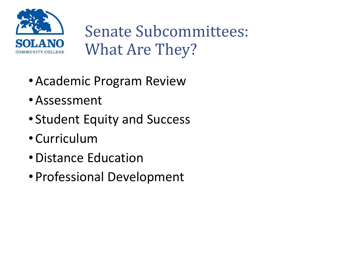

Senate Subcommittees: What Are They?

- •Academic Program Review
- •Assessment
- Student Equity and Success
- Curriculum
- •Distance Education
- Professional Development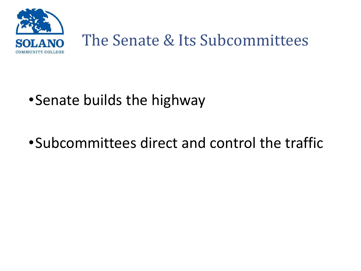

#### The Senate & Its Subcommittees

#### •Senate builds the highway

#### •Subcommittees direct and control the traffic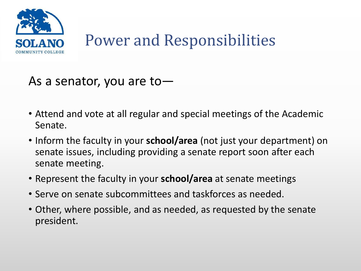

## Power and Responsibilities

#### As a senator, you are to—

- Attend and vote at all regular and special meetings of the Academic Senate.
- Inform the faculty in your **school/area** (not just your department) on senate issues, including providing a senate report soon after each senate meeting.
- Represent the faculty in your **school/area** at senate meetings
- Serve on senate subcommittees and taskforces as needed.
- Other, where possible, and as needed, as requested by the senate president.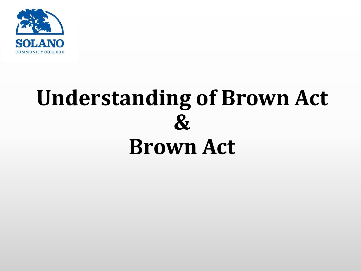

# **Understanding of Brown Act & Brown Act**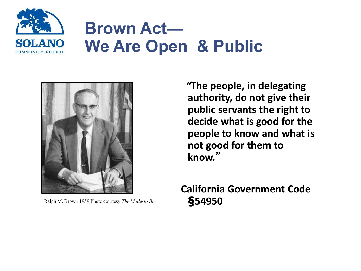

## **Brown Act— We Are Open & Public**



Ralph M. Brown 1959 Photo courtesy *The Modesto Bee* **§54950**

*"***The people, in delegating authority, do not give their public servants the right to decide what is good for the people to know and what is not good for them to know.**"

**California Government Code**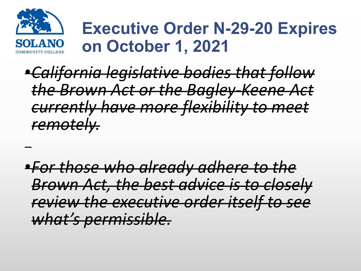

### **Executive Order N-29-20 Expires on October 1, 2021**

•*California legislative bodies that follow the Brown Act or the Bagley-Keene Act currently have more flexibility to meet remotely.* 

•*For those who already adhere to the Brown Act, the best advice is to closely review the executive order itself to see what's permissible.*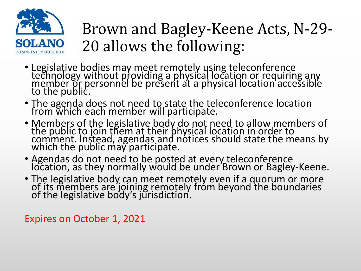

### Brown and Bagley-Keene Acts, N-29- 20 allows the following:

- Legislative bodies may meet remotely using teleconference technology without providing a physical location or requiring any member or personnel be present at a physical location accessible to the public.
- The agenda does not need to state the teleconference location from which each member will participate.
- Members of the legislative body do not need to allow members of the public to join them at their physical location in order to comment. Instead, agendas and notices should state the means by which the public may participate.
- Agendas do not need to be posted at every teleconference location, as they normally would be under Brown or Bagley-Keene.
- The legislative body can meet remotely even if a quorum or more of its members are joining remotely from beyond the boundaries of the legislative body's jurisdiction.

Expires on October 1, 2021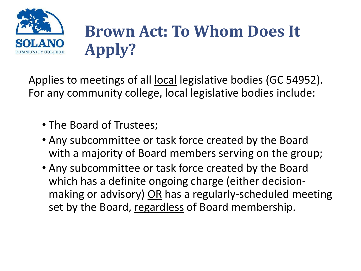

## **Brown Act: To Whom Does It Apply?**

Applies to meetings of all local legislative bodies (GC 54952). For any community college, local legislative bodies include:

- The Board of Trustees;
- Any subcommittee or task force created by the Board with a majority of Board members serving on the group;
- Any subcommittee or task force created by the Board which has a definite ongoing charge (either decisionmaking or advisory) OR has a regularly-scheduled meeting set by the Board, regardless of Board membership.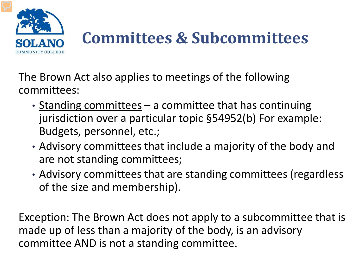

# **Committees & Subcommittees**

The Brown Act also applies to meetings of the following committees:

- Standing committees a committee that has continuing jurisdiction over a particular topic §54952(b) For example: Budgets, personnel, etc.;
- Advisory committees that include a majority of the body and are not standing committees;
- Advisory committees that are standing committees (regardless of the size and membership).

Exception: The Brown Act does not apply to a subcommittee that is made up of less than a majority of the body, is an advisory committee AND is not a standing committee.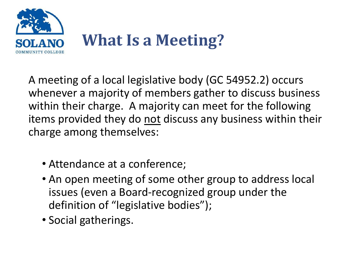

A meeting of a local legislative body (GC 54952.2) occurs whenever a majority of members gather to discuss business within their charge. A majority can meet for the following items provided they do not discuss any business within their charge among themselves:

- Attendance at a conference;
- An open meeting of some other group to address local issues (even a Board-recognized group under the definition of "legislative bodies");
- Social gatherings.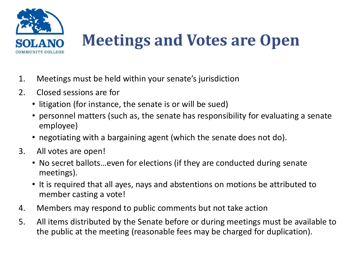

## **Meetings and Votes are Open**

- 1. Meetings must be held within your senate's jurisdiction
- 2. Closed sessions are for
	- litigation (for instance, the senate is or will be sued)
	- personnel matters (such as, the senate has responsibility for evaluating a senate employee)
	- negotiating with a bargaining agent (which the senate does not do).
- 3. All votes are open!
	- No secret ballots…even for elections (if they are conducted during senate meetings).
	- It is required that all ayes, nays and abstentions on motions be attributed to member casting a vote!
- 4. Members may respond to public comments but not take action
- 5. All items distributed by the Senate before or during meetings must be available to the public at the meeting (reasonable fees may be charged for duplication).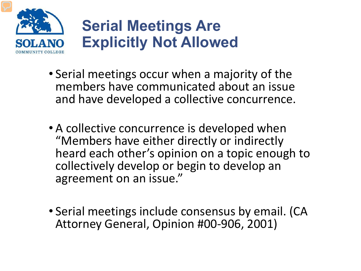

#### **Serial Meetings Are Explicitly Not Allowed**

- Serial meetings occur when a majority of the members have communicated about an issue and have developed a collective concurrence.
- A collective concurrence is developed when "Members have either directly or indirectly heard each other's opinion on a topic enough to collectively develop or begin to develop an agreement on an issue."
- Serial meetings include consensus by email. (CA Attorney General, Opinion #00-906, 2001)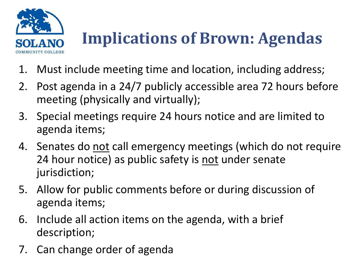

# **Implications of Brown: Agendas**

- 1. Must include meeting time and location, including address;
- 2. Post agenda in a 24/7 publicly accessible area 72 hours before meeting (physically and virtually);
- 3. Special meetings require 24 hours notice and are limited to agenda items;
- 4. Senates do not call emergency meetings (which do not require 24 hour notice) as public safety is not under senate jurisdiction;
- 5. Allow for public comments before or during discussion of agenda items;
- 6. Include all action items on the agenda, with a brief description;
- 7. Can change order of agenda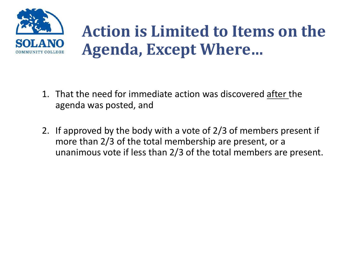

### **Action is Limited to Items on the Agenda, Except Where…**

- 1. That the need for immediate action was discovered after the agenda was posted, and
- 2. If approved by the body with a vote of 2/3 of members present if more than 2/3 of the total membership are present, or a unanimous vote if less than 2/3 of the total members are present.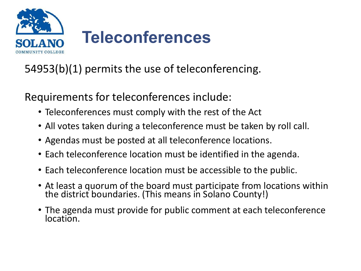

54953(b)(1) permits the use of teleconferencing.

Requirements for teleconferences include:

- Teleconferences must comply with the rest of the Act
- All votes taken during a teleconference must be taken by roll call.
- Agendas must be posted at all teleconference locations.
- Each teleconference location must be identified in the agenda.
- Each teleconference location must be accessible to the public.
- At least a quorum of the board must participate from locations within the district boundaries. (This means in Solano County!)
- The agenda must provide for public comment at each teleconference location.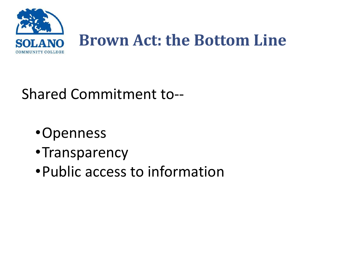

Shared Commitment to--

- •Openness
- •Transparency
- •Public access to information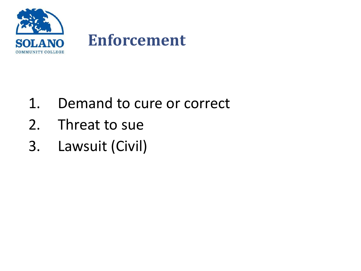

- 1. Demand to cure or correct
- 2. Threat to sue
- 3. Lawsuit (Civil)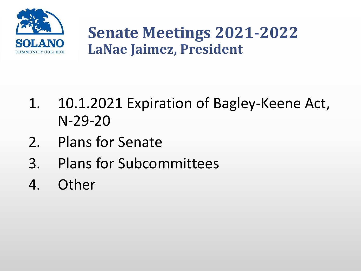

#### **Senate Meetings 2021-2022 LaNae Jaimez, President**

- 1. 10.1.2021 Expiration of Bagley-Keene Act, N-29-20
- 2. Plans for Senate
- 3. Plans for Subcommittees
- 4. Other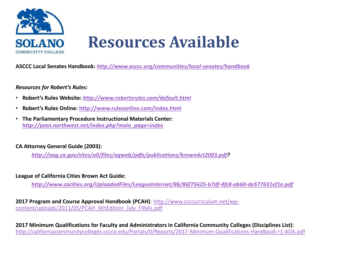

**ASCCC Local Senates Handbook:** *<http://www.asccc.org/communities/local-senates/handbook>*

#### *Resources for Robert's Rules:*

- **Robert's Rules Website:** *<http://www.robertsrules.com/default.html>*
- **Robert's Rules Online: <http://www.rulesonline.com/index.html>**
- **The Parliamentary Procedure Instructional Materials Center:**  *[http://pzen.northwest.net/index.php?main\\_page=index](http://pzen.northwest.net/index.php?main_page=index)*

#### **CA Attorney General Guide (2003):**

*[http://oag.ca.gov/sites/all/files/agweb/pdfs/publications/brownAct2003.pdf?](http://oag.ca.gov/sites/all/files/agweb/pdfs/publications/brownAct2003.pdf)*

#### **League of California Cities Brown Act Guide:**

*<http://www.cacities.org/UploadedFiles/LeagueInternet/86/86f75625-b7df-4fc8-ab60-de577631ef1e.pdf>*

**2017 Program and Course Approval Handbook (PCAH)**: http://www.ccccurriculum.net/wp[content/uploads/2011/05/PCAH\\_6thEdition\\_July\\_FINAL.pdf](http://www.ccccurriculum.net/wp-content/uploads/2011/05/PCAH_6thEdition_July_FINAL.pdf)

**2017 Minimum Qualifications for Faculty and Administrators in California Community Colleges (Disciplines List)**: <http://californiacommunitycolleges.cccco.edu/Portals/0/Reports/2017-Minimum-Qualifications-Handbook-r1-ADA.pdf>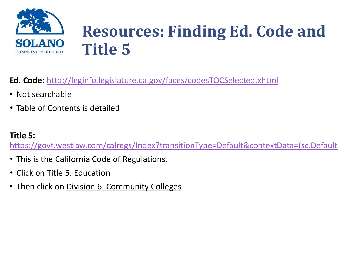

## **Resources: Finding Ed. Code and Title 5**

**Ed. Code:** <http://leginfo.legislature.ca.gov/faces/codesTOCSelected.xhtml>

- Not searchable
- Table of Contents is detailed

#### **Title 5:**

[https://govt.westlaw.com/calregs/Index?transitionType=Default&contextData=\(sc.Default](https://govt.westlaw.com/calregs/Index?transitionType=Default&contextData=(sc.Default)

- This is the California Code of Regulations.
- Click on Title 5. Education
- Then click on Division 6. Community Colleges